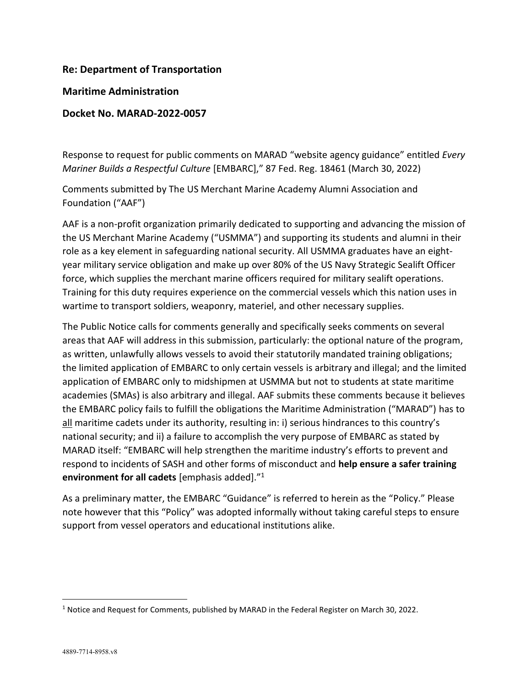### **Re: Department of Transportation**

#### **Maritime Administration**

### **Docket No. MARAD-2022-0057**

Response to request for public comments on MARAD "website agency guidance" entitled *Every Mariner Builds a Respectful Culture* [EMBARC]," 87 Fed. Reg. 18461 (March 30, 2022)

Comments submitted by The US Merchant Marine Academy Alumni Association and Foundation ("AAF")

AAF is a non-profit organization primarily dedicated to supporting and advancing the mission of the US Merchant Marine Academy ("USMMA") and supporting its students and alumni in their role as a key element in safeguarding national security. All USMMA graduates have an eightyear military service obligation and make up over 80% of the US Navy Strategic Sealift Officer force, which supplies the merchant marine officers required for military sealift operations. Training for this duty requires experience on the commercial vessels which this nation uses in wartime to transport soldiers, weaponry, materiel, and other necessary supplies.

The Public Notice calls for comments generally and specifically seeks comments on several areas that AAF will address in this submission, particularly: the optional nature of the program, as written, unlawfully allows vessels to avoid their statutorily mandated training obligations; the limited application of EMBARC to only certain vessels is arbitrary and illegal; and the limited application of EMBARC only to midshipmen at USMMA but not to students at state maritime academies (SMAs) is also arbitrary and illegal. AAF submits these comments because it believes the EMBARC policy fails to fulfill the obligations the Maritime Administration ("MARAD") has to all maritime cadets under its authority, resulting in: i) serious hindrances to this country's national security; and ii) a failure to accomplish the very purpose of EMBARC as stated by MARAD itself: "EMBARC will help strengthen the maritime industry's efforts to prevent and respond to incidents of SASH and other forms of misconduct and **help ensure a safer training environment for all cadets** [emphasis added]."<sup>1</sup>

As a preliminary matter, the EMBARC "Guidance" is referred to herein as the "Policy." Please note however that this "Policy" was adopted informally without taking careful steps to ensure support from vessel operators and educational institutions alike.

 <sup>1</sup> Notice and Request for Comments, published by MARAD in the Federal Register on March 30, 2022.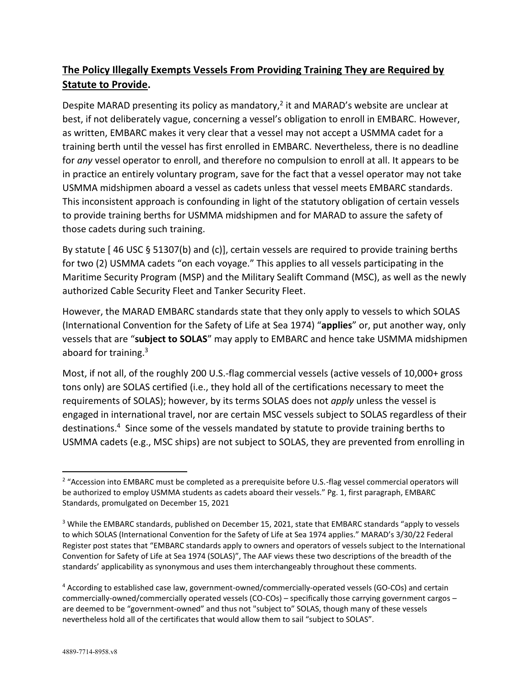# **The Policy Illegally Exempts Vessels From Providing Training They are Required by Statute to Provide.**

Despite MARAD presenting its policy as mandatory,<sup>2</sup> it and MARAD's website are unclear at best, if not deliberately vague, concerning a vessel's obligation to enroll in EMBARC. However, as written, EMBARC makes it very clear that a vessel may not accept a USMMA cadet for a training berth until the vessel has first enrolled in EMBARC. Nevertheless, there is no deadline for *any* vessel operator to enroll, and therefore no compulsion to enroll at all. It appears to be in practice an entirely voluntary program, save for the fact that a vessel operator may not take USMMA midshipmen aboard a vessel as cadets unless that vessel meets EMBARC standards. This inconsistent approach is confounding in light of the statutory obligation of certain vessels to provide training berths for USMMA midshipmen and for MARAD to assure the safety of those cadets during such training.

By statute [ 46 USC § 51307(b) and (c)], certain vessels are required to provide training berths for two (2) USMMA cadets "on each voyage." This applies to all vessels participating in the Maritime Security Program (MSP) and the Military Sealift Command (MSC), as well as the newly authorized Cable Security Fleet and Tanker Security Fleet.

However, the MARAD EMBARC standards state that they only apply to vessels to which SOLAS (International Convention for the Safety of Life at Sea 1974) "**applies**" or, put another way, only vessels that are "**subject to SOLAS**" may apply to EMBARC and hence take USMMA midshipmen aboard for training.3

Most, if not all, of the roughly 200 U.S.-flag commercial vessels (active vessels of 10,000+ gross tons only) are SOLAS certified (i.e., they hold all of the certifications necessary to meet the requirements of SOLAS); however, by its terms SOLAS does not *apply* unless the vessel is engaged in international travel, nor are certain MSC vessels subject to SOLAS regardless of their destinations.<sup>4</sup> Since some of the vessels mandated by statute to provide training berths to USMMA cadets (e.g., MSC ships) are not subject to SOLAS, they are prevented from enrolling in

<sup>&</sup>lt;sup>2</sup> "Accession into EMBARC must be completed as a prerequisite before U.S.-flag vessel commercial operators will be authorized to employ USMMA students as cadets aboard their vessels." Pg. 1, first paragraph, EMBARC Standards, promulgated on December 15, 2021

<sup>&</sup>lt;sup>3</sup> While the EMBARC standards, published on December 15, 2021, state that EMBARC standards "apply to vessels to which SOLAS (International Convention for the Safety of Life at Sea 1974 applies." MARAD's 3/30/22 Federal Register post states that "EMBARC standards apply to owners and operators of vessels subject to the International Convention for Safety of Life at Sea 1974 (SOLAS)", The AAF views these two descriptions of the breadth of the standards' applicability as synonymous and uses them interchangeably throughout these comments.

<sup>4</sup> According to established case law, government-owned/commercially-operated vessels (GO-COs) and certain commercially-owned/commercially operated vessels (CO-COs) – specifically those carrying government cargos – are deemed to be "government-owned" and thus not "subject to" SOLAS, though many of these vessels nevertheless hold all of the certificates that would allow them to sail "subject to SOLAS".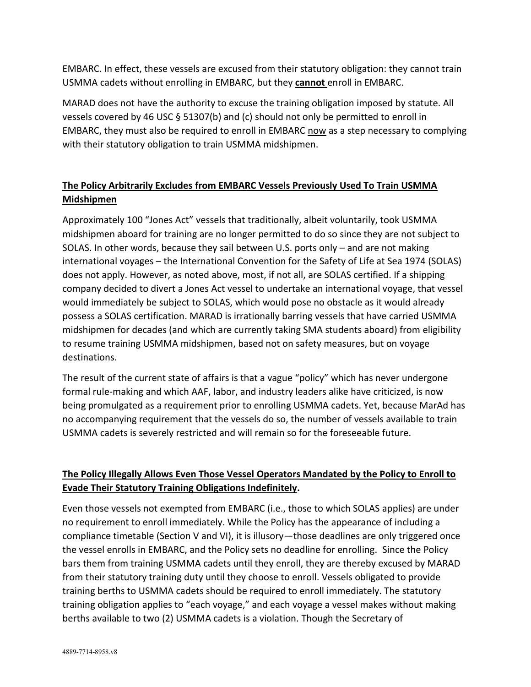EMBARC. In effect, these vessels are excused from their statutory obligation: they cannot train USMMA cadets without enrolling in EMBARC, but they **cannot** enroll in EMBARC.

MARAD does not have the authority to excuse the training obligation imposed by statute. All vessels covered by 46 USC § 51307(b) and (c) should not only be permitted to enroll in EMBARC, they must also be required to enroll in EMBARC now as a step necessary to complying with their statutory obligation to train USMMA midshipmen.

# **The Policy Arbitrarily Excludes from EMBARC Vessels Previously Used To Train USMMA Midshipmen**

Approximately 100 "Jones Act" vessels that traditionally, albeit voluntarily, took USMMA midshipmen aboard for training are no longer permitted to do so since they are not subject to SOLAS. In other words, because they sail between U.S. ports only – and are not making international voyages – the International Convention for the Safety of Life at Sea 1974 (SOLAS) does not apply. However, as noted above, most, if not all, are SOLAS certified. If a shipping company decided to divert a Jones Act vessel to undertake an international voyage, that vessel would immediately be subject to SOLAS, which would pose no obstacle as it would already possess a SOLAS certification. MARAD is irrationally barring vessels that have carried USMMA midshipmen for decades (and which are currently taking SMA students aboard) from eligibility to resume training USMMA midshipmen, based not on safety measures, but on voyage destinations.

The result of the current state of affairs is that a vague "policy" which has never undergone formal rule-making and which AAF, labor, and industry leaders alike have criticized, is now being promulgated as a requirement prior to enrolling USMMA cadets. Yet, because MarAd has no accompanying requirement that the vessels do so, the number of vessels available to train USMMA cadets is severely restricted and will remain so for the foreseeable future.

## **The Policy Illegally Allows Even Those Vessel Operators Mandated by the Policy to Enroll to Evade Their Statutory Training Obligations Indefinitely.**

Even those vessels not exempted from EMBARC (i.e., those to which SOLAS applies) are under no requirement to enroll immediately. While the Policy has the appearance of including a compliance timetable (Section V and VI), it is illusory—those deadlines are only triggered once the vessel enrolls in EMBARC, and the Policy sets no deadline for enrolling. Since the Policy bars them from training USMMA cadets until they enroll, they are thereby excused by MARAD from their statutory training duty until they choose to enroll. Vessels obligated to provide training berths to USMMA cadets should be required to enroll immediately. The statutory training obligation applies to "each voyage," and each voyage a vessel makes without making berths available to two (2) USMMA cadets is a violation. Though the Secretary of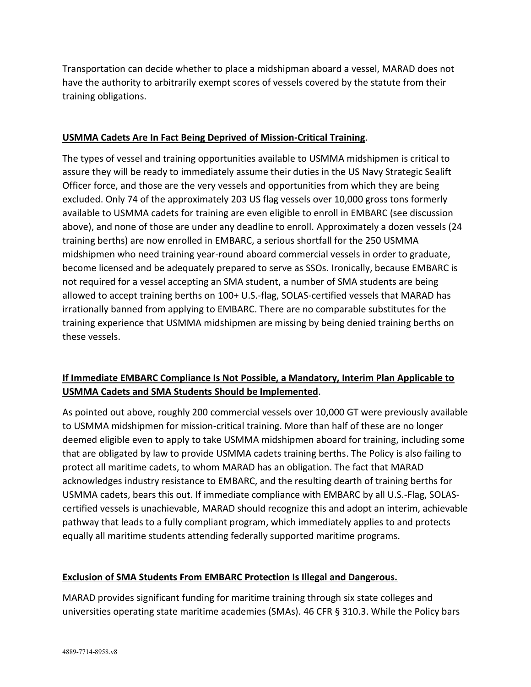Transportation can decide whether to place a midshipman aboard a vessel, MARAD does not have the authority to arbitrarily exempt scores of vessels covered by the statute from their training obligations.

### **USMMA Cadets Are In Fact Being Deprived of Mission-Critical Training**.

The types of vessel and training opportunities available to USMMA midshipmen is critical to assure they will be ready to immediately assume their duties in the US Navy Strategic Sealift Officer force, and those are the very vessels and opportunities from which they are being excluded. Only 74 of the approximately 203 US flag vessels over 10,000 gross tons formerly available to USMMA cadets for training are even eligible to enroll in EMBARC (see discussion above), and none of those are under any deadline to enroll. Approximately a dozen vessels (24 training berths) are now enrolled in EMBARC, a serious shortfall for the 250 USMMA midshipmen who need training year-round aboard commercial vessels in order to graduate, become licensed and be adequately prepared to serve as SSOs. Ironically, because EMBARC is not required for a vessel accepting an SMA student, a number of SMA students are being allowed to accept training berths on 100+ U.S.-flag, SOLAS-certified vessels that MARAD has irrationally banned from applying to EMBARC. There are no comparable substitutes for the training experience that USMMA midshipmen are missing by being denied training berths on these vessels.

## **If Immediate EMBARC Compliance Is Not Possible, a Mandatory, Interim Plan Applicable to USMMA Cadets and SMA Students Should be Implemented**.

As pointed out above, roughly 200 commercial vessels over 10,000 GT were previously available to USMMA midshipmen for mission-critical training. More than half of these are no longer deemed eligible even to apply to take USMMA midshipmen aboard for training, including some that are obligated by law to provide USMMA cadets training berths. The Policy is also failing to protect all maritime cadets, to whom MARAD has an obligation. The fact that MARAD acknowledges industry resistance to EMBARC, and the resulting dearth of training berths for USMMA cadets, bears this out. If immediate compliance with EMBARC by all U.S.-Flag, SOLAScertified vessels is unachievable, MARAD should recognize this and adopt an interim, achievable pathway that leads to a fully compliant program, which immediately applies to and protects equally all maritime students attending federally supported maritime programs.

#### **Exclusion of SMA Students From EMBARC Protection Is Illegal and Dangerous.**

MARAD provides significant funding for maritime training through six state colleges and universities operating state maritime academies (SMAs). 46 CFR § 310.3. While the Policy bars